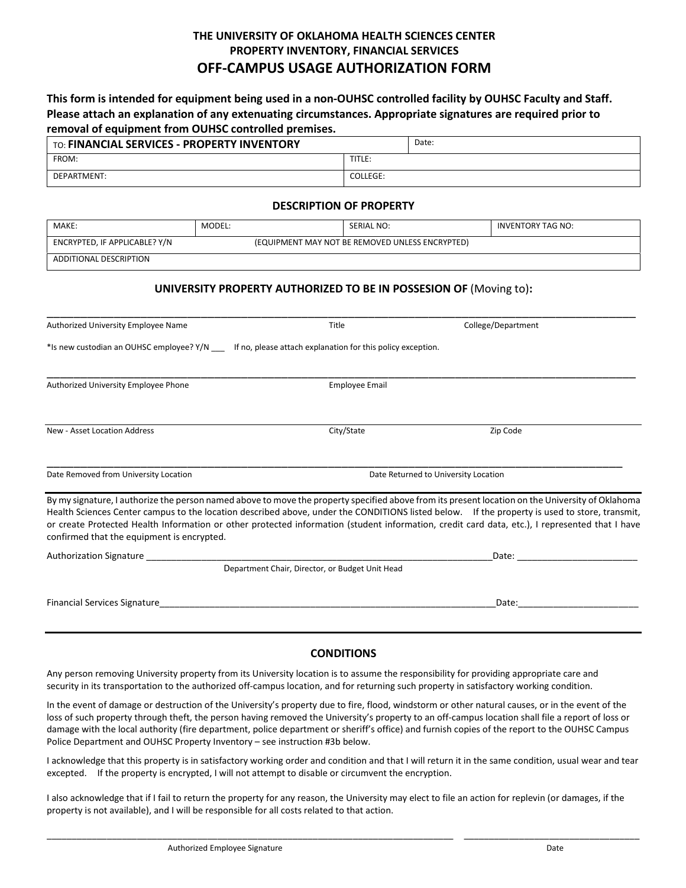# **THE UNIVERSITY OF OKLAHOMA HEALTH SCIENCES CENTER PROPERTY INVENTORY, FINANCIAL SERVICES OFF-CAMPUS USAGE AUTHORIZATION FORM**

**This form is intended for equipment being used in a non-OUHSC controlled facility by OUHSC Faculty and Staff. Please attach an explanation of any extenuating circumstances. Appropriate signatures are required prior to removal of equipment from OUHSC controlled premises.**

| TO: FINANCIAL SERVICES - PROPERTY INVENTORY |          | Date: |
|---------------------------------------------|----------|-------|
| FROM:                                       | TITLE:   |       |
| DEPARTMENT:                                 | COLLEGE: |       |

#### **DESCRIPTION OF PROPERTY**

| MAKE:                                                                            | MODEL: | <b>SERIAL NO:</b> | INVENTORY TAG NO: |  |  |
|----------------------------------------------------------------------------------|--------|-------------------|-------------------|--|--|
| ENCRYPTED, IF APPLICABLE? Y/N<br>(EQUIPMENT MAY NOT BE REMOVED UNLESS ENCRYPTED) |        |                   |                   |  |  |
| ADDITIONAL DESCRIPTION                                                           |        |                   |                   |  |  |

## **UNIVERSITY PROPERTY AUTHORIZED TO BE IN POSSESION OF** (Moving to)**:**

| Authorized University Employee Name                                                                       | Title                                           | College/Department                                                                                                                                                                                                                                                                                                                                                                                                                                  |  |
|-----------------------------------------------------------------------------------------------------------|-------------------------------------------------|-----------------------------------------------------------------------------------------------------------------------------------------------------------------------------------------------------------------------------------------------------------------------------------------------------------------------------------------------------------------------------------------------------------------------------------------------------|--|
| *Is new custodian an OUHSC employee? Y/N ____ If no, please attach explanation for this policy exception. |                                                 |                                                                                                                                                                                                                                                                                                                                                                                                                                                     |  |
| Authorized University Employee Phone                                                                      | <b>Employee Email</b>                           |                                                                                                                                                                                                                                                                                                                                                                                                                                                     |  |
| New - Asset Location Address                                                                              | City/State                                      | Zip Code                                                                                                                                                                                                                                                                                                                                                                                                                                            |  |
| Date Removed from University Location                                                                     | Date Returned to University Location            |                                                                                                                                                                                                                                                                                                                                                                                                                                                     |  |
| confirmed that the equipment is encrypted.                                                                |                                                 | By my signature, I authorize the person named above to move the property specified above from its present location on the University of Oklahoma<br>Health Sciences Center campus to the location described above, under the CONDITIONS listed below. If the property is used to store, transmit,<br>or create Protected Health Information or other protected information (student information, credit card data, etc.), I represented that I have |  |
| <b>Authorization Signature</b>                                                                            |                                                 | Date: the contract of the contract of the contract of the contract of the contract of the contract of the contract of the contract of the contract of the contract of the contract of the contract of the contract of the cont                                                                                                                                                                                                                      |  |
|                                                                                                           | Department Chair, Director, or Budget Unit Head |                                                                                                                                                                                                                                                                                                                                                                                                                                                     |  |
| Financial Services Signature                                                                              |                                                 | Date:                                                                                                                                                                                                                                                                                                                                                                                                                                               |  |

## **CONDITIONS**

Any person removing University property from its University location is to assume the responsibility for providing appropriate care and security in its transportation to the authorized off-campus location, and for returning such property in satisfactory working condition.

In the event of damage or destruction of the University's property due to fire, flood, windstorm or other natural causes, or in the event of the loss of such property through theft, the person having removed the University's property to an off-campus location shall file a report of loss or damage with the local authority (fire department, police department or sheriff's office) and furnish copies of the report to the OUHSC Campus Police Department and OUHSC Property Inventory – see instruction #3b below.

I acknowledge that this property is in satisfactory working order and condition and that I will return it in the same condition, usual wear and tear excepted. If the property is encrypted, I will not attempt to disable or circumvent the encryption.

I also acknowledge that if I fail to return the property for any reason, the University may elect to file an action for replevin (or damages, if the property is not available), and I will be responsible for all costs related to that action.

\_\_\_\_\_\_\_\_\_\_\_\_\_\_\_\_\_\_\_\_\_\_\_\_\_\_\_\_\_\_\_\_\_\_\_\_\_\_\_\_\_\_\_\_\_\_\_\_\_\_\_\_\_\_\_\_\_\_\_\_\_\_\_\_\_\_\_\_\_\_\_\_\_\_\_\_\_\_\_\_\_ \_\_\_\_\_\_\_\_\_\_\_\_\_\_\_\_\_\_\_\_\_\_\_\_\_\_\_\_\_\_\_\_\_\_\_